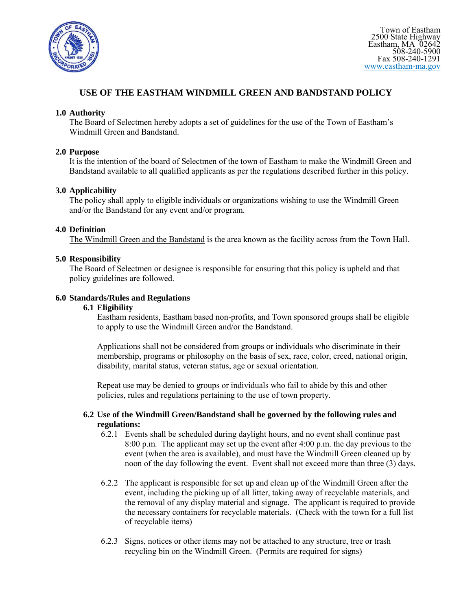

# **USE OF THE EASTHAM WINDMILL GREEN AND BANDSTAND POLICY**

### **1.0 Authority**

The Board of Selectmen hereby adopts a set of guidelines for the use of the Town of Eastham's Windmill Green and Bandstand.

#### **2.0 Purpose**

It is the intention of the board of Selectmen of the town of Eastham to make the Windmill Green and Bandstand available to all qualified applicants as per the regulations described further in this policy.

### **3.0 Applicability**

The policy shall apply to eligible individuals or organizations wishing to use the Windmill Green and/or the Bandstand for any event and/or program.

#### **4.0 Definition**

The Windmill Green and the Bandstand is the area known as the facility across from the Town Hall.

### **5.0 Responsibility**

The Board of Selectmen or designee is responsible for ensuring that this policy is upheld and that policy guidelines are followed.

#### **6.0 Standards/Rules and Regulations**

### **6.1 Eligibility**

Eastham residents, Eastham based non-profits, and Town sponsored groups shall be eligible to apply to use the Windmill Green and/or the Bandstand.

Applications shall not be considered from groups or individuals who discriminate in their membership, programs or philosophy on the basis of sex, race, color, creed, national origin, disability, marital status, veteran status, age or sexual orientation.

Repeat use may be denied to groups or individuals who fail to abide by this and other policies, rules and regulations pertaining to the use of town property.

#### **6.2 Use of the Windmill Green/Bandstand shall be governed by the following rules and regulations:**

- 6.2.1 Events shall be scheduled during daylight hours, and no event shall continue past 8:00 p.m. The applicant may set up the event after 4:00 p.m. the day previous to the event (when the area is available), and must have the Windmill Green cleaned up by noon of the day following the event. Event shall not exceed more than three (3) days.
- 6.2.2 The applicant is responsible for set up and clean up of the Windmill Green after the event, including the picking up of all litter, taking away of recyclable materials, and the removal of any display material and signage. The applicant is required to provide the necessary containers for recyclable materials. (Check with the town for a full list of recyclable items)
- 6.2.3 Signs, notices or other items may not be attached to any structure, tree or trash recycling bin on the Windmill Green. (Permits are required for signs)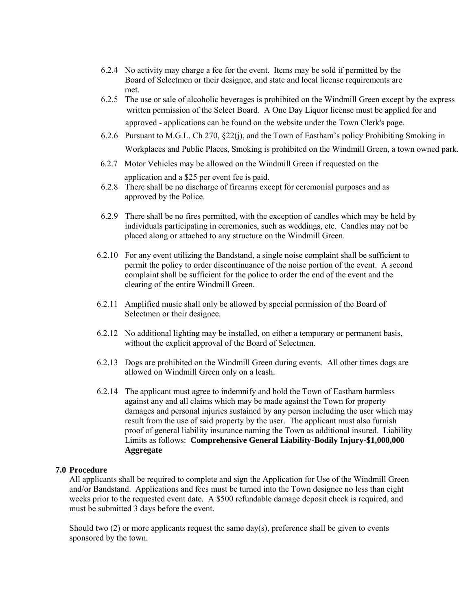- 6.2.4 No activity may charge a fee for the event. Items may be sold if permitted by the Board of Selectmen or their designee, and state and local license requirements are met.
- 6.2.5 The use or sale of alcoholic beverages is prohibited on the Windmill Green except by the express written permission of the Select Board. A One Day Liquor license must be applied for and approved - applications can be found on the website under the Town Clerk's page.
- 6.2.6 Pursuant to M.G.L. Ch 270, §22(j), and the Town of Eastham's policy Prohibiting Smoking in Workplaces and Public Places, Smoking is prohibited on the Windmill Green, a town owned park.
- 6.2.7 Motor Vehicles may be allowed on the Windmill Green if requested on the application and a \$25 per event fee is paid.
- 6.2.8 There shall be no discharge of firearms except for ceremonial purposes and as approved by the Police.
- 6.2.9 There shall be no fires permitted, with the exception of candles which may be held by individuals participating in ceremonies, such as weddings, etc. Candles may not be placed along or attached to any structure on the Windmill Green.
- 6.2.10 For any event utilizing the Bandstand, a single noise complaint shall be sufficient to permit the policy to order discontinuance of the noise portion of the event. A second complaint shall be sufficient for the police to order the end of the event and the clearing of the entire Windmill Green.
- 6.2.11 Amplified music shall only be allowed by special permission of the Board of Selectmen or their designee.
- 6.2.12 No additional lighting may be installed, on either a temporary or permanent basis, without the explicit approval of the Board of Selectmen.
- 6.2.13 Dogs are prohibited on the Windmill Green during events. All other times dogs are allowed on Windmill Green only on a leash.
- 6.2.14 The applicant must agree to indemnify and hold the Town of Eastham harmless against any and all claims which may be made against the Town for property damages and personal injuries sustained by any person including the user which may result from the use of said property by the user. The applicant must also furnish proof of general liability insurance naming the Town as additional insured. Liability Limits as follows: **Comprehensive General Liability-Bodily Injury-\$1,000,000 Aggregate**

#### **7.0 Procedure**

All applicants shall be required to complete and sign the Application for Use of the Windmill Green and/or Bandstand. Applications and fees must be turned into the Town designee no less than eight weeks prior to the requested event date. A \$500 refundable damage deposit check is required, and must be submitted 3 days before the event.

Should two  $(2)$  or more applicants request the same day(s), preference shall be given to events sponsored by the town.